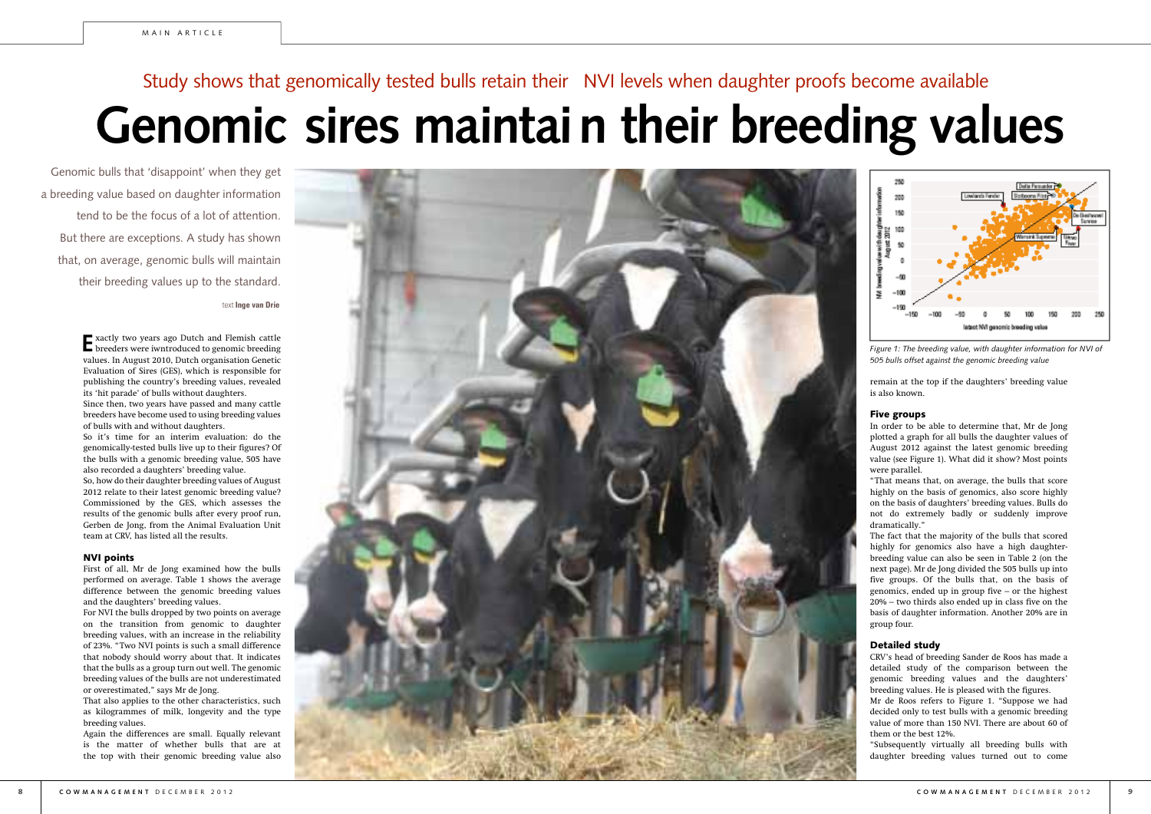**E** xactly two years ago Dutch and Flemish cattle breeders were iwntroduced to genomic breeding values. In August 2010, Dutch organisation Genetic Evaluation of Sires (GES), which is responsible for publishing the country's breeding values, revealed its 'hit parade' of bulls without daughters.

Since then, two years have passed and many cattle breeders have become used to using breeding values of bulls with and without daughters.

So it's time for an interim evaluation: do the genomically-tested bulls live up to their figures? Of the bulls with a genomic breeding value, 505 have also recorded a daughters' breeding value.

So, how do their daughter breeding values of August 2012 relate to their latest genomic breeding value? Commissioned by the GES, which assesses the results of the genomic bulls after every proof run, Gerben de Jong, from the Animal Evaluation Unit team at CRV, has listed all the results.

## NVI points

First of all, Mr de Jong examined how the bulls performed on average. Table 1 shows the average difference between the genomic breeding values and the daughters' breeding values.



For NVI the bulls dropped by two points on average on the transition from genomic to daughter breeding values, with an increase in the reliability of 23%. "Two NVI points is such a small difference that nobody should worry about that. It indicates that the bulls as a group turn out well. The genomic breeding values of the bulls are not underestimated or overestimated," says Mr de Jong.

That also applies to the other characteristics, such as kilogrammes of milk, longevity and the type breeding values.

Again the differences are small. Equally relevant is the matter of whether bulls that are at the top with their genomic breeding value also

text **Inge van Drie**  Genomic bulls that 'disappoint' when they get a breeding value based on daughter information tend to be the focus of a lot of attention. But there are exceptions. A study has shown that, on average, genomic bulls will maintain their breeding values up to the standard.

# **Genomic sires maintain their breeding values** Study shows that genomically tested bulls retain their NVI levels when daughter proofs become available